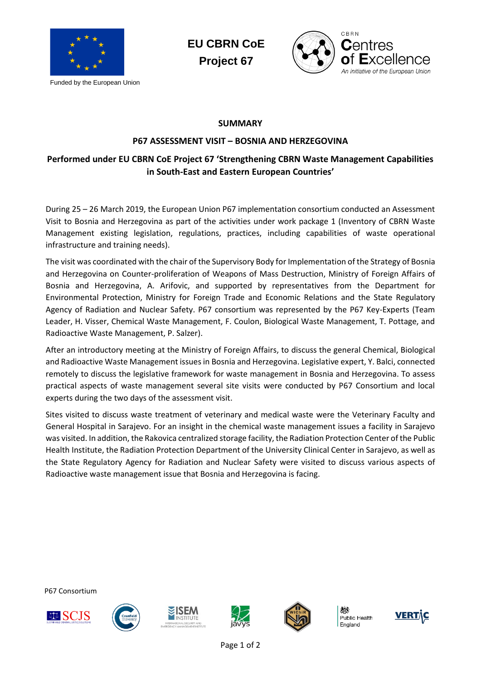

Funded by the European Union

**EU CBRN CoE Project 67**



## **SUMMARY**

## **P67 ASSESSMENT VISIT – BOSNIA AND HERZEGOVINA**

## **Performed under EU CBRN CoE Project 67 'Strengthening CBRN Waste Management Capabilities in South-East and Eastern European Countries'**

During 25 – 26 March 2019, the European Union P67 implementation consortium conducted an Assessment Visit to Bosnia and Herzegovina as part of the activities under work package 1 (Inventory of CBRN Waste Management existing legislation, regulations, practices, including capabilities of waste operational infrastructure and training needs).

The visit was coordinated with the chair of the Supervisory Body for Implementation of the Strategy of Bosnia and Herzegovina on Counter-proliferation of Weapons of Mass Destruction, Ministry of Foreign Affairs of Bosnia and Herzegovina, A. Arifovic, and supported by representatives from the Department for Environmental Protection, Ministry for Foreign Trade and Economic Relations and the State Regulatory Agency of Radiation and Nuclear Safety. P67 consortium was represented by the P67 Key-Experts (Team Leader, H. Visser, Chemical Waste Management, F. Coulon, Biological Waste Management, T. Pottage, and Radioactive Waste Management, P. Salzer).

After an introductory meeting at the Ministry of Foreign Affairs, to discuss the general Chemical, Biological and Radioactive Waste Management issues in Bosnia and Herzegovina. Legislative expert, Y. Balci, connected remotely to discuss the legislative framework for waste management in Bosnia and Herzegovina. To assess practical aspects of waste management several site visits were conducted by P67 Consortium and local experts during the two days of the assessment visit.

Sites visited to discuss waste treatment of veterinary and medical waste were the Veterinary Faculty and General Hospital in Sarajevo. For an insight in the chemical waste management issues a facility in Sarajevo was visited. In addition, the Rakovica centralized storage facility, the Radiation Protection Center of the Public Health Institute, the Radiation Protection Department of the University Clinical Center in Sarajevo, as well as the State Regulatory Agency for Radiation and Nuclear Safety were visited to discuss various aspects of Radioactive waste management issue that Bosnia and Herzegovina is facing.

P67 Consortium











Public Health England